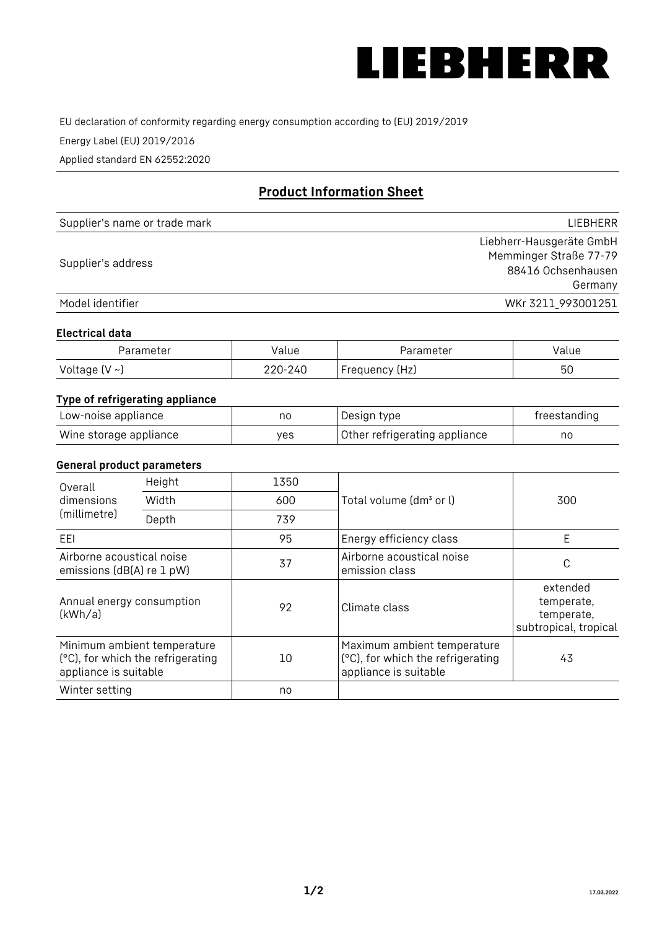

EU declaration of conformity regarding energy consumption according to (EU) 2019/2019

Energy Label (EU) 2019/2016

Applied standard EN 62552:2020

# **Product Information Sheet**

| Supplier's name or trade mark | <b>LIFBHFRR</b>          |
|-------------------------------|--------------------------|
|                               | Liebherr-Hausgeräte GmbH |
| Supplier's address            | Memminger Straße 77-79   |
|                               | 88416 Ochsenhausen       |
|                               | Germany                  |
| Model identifier              | WKr 3211 993001251       |

#### **Electrical data**

| Parameter           | Value   | Parameter      | Value |
|---------------------|---------|----------------|-------|
| Voltage (V $\sim$ ) | 220-240 | Frequency (Hz) | 50    |

## **Type of refrigerating appliance**

| Low-noise appliance    | nc  | Design type                   | freestanding |
|------------------------|-----|-------------------------------|--------------|
| Wine storage appliance | ves | Other refrigerating appliance | no           |

### **General product parameters**

| Overall                                                | Height                                                           | 1350 |                                                                                           | 300                                                           |
|--------------------------------------------------------|------------------------------------------------------------------|------|-------------------------------------------------------------------------------------------|---------------------------------------------------------------|
| dimensions<br>(millimetre)                             | Width                                                            | 600  | Total volume (dm <sup>3</sup> or l)                                                       |                                                               |
|                                                        | Depth                                                            | 739  |                                                                                           |                                                               |
| EEL                                                    |                                                                  | 95   | Energy efficiency class                                                                   | E                                                             |
| Airborne acoustical noise<br>emissions (dB(A) re 1 pW) |                                                                  | 37   | Airborne acoustical noise<br>emission class                                               | С                                                             |
| Annual energy consumption<br>(kWh/a)                   |                                                                  | 92   | Climate class                                                                             | extended<br>temperate,<br>temperate,<br>subtropical, tropical |
| appliance is suitable                                  | Minimum ambient temperature<br>(°C), for which the refrigerating | 10   | Maximum ambient temperature<br>(°C), for which the refrigerating<br>appliance is suitable | 43                                                            |
| Winter setting                                         |                                                                  | no   |                                                                                           |                                                               |